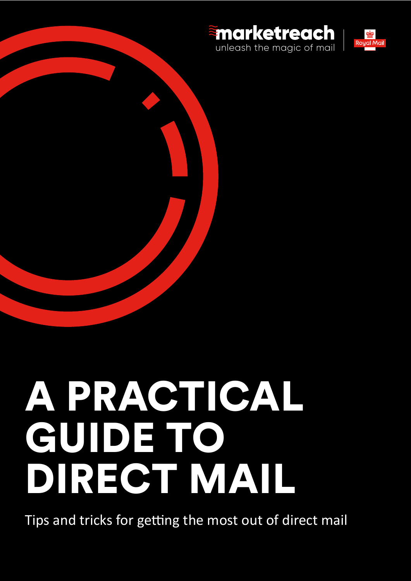



# A PRACTICAL GUIDE TO DIRECT MAIL

Tips and tricks for getting the most out of direct mail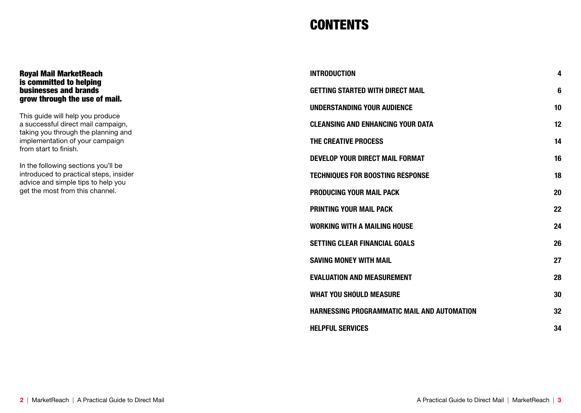# **CONTENTS**

| <b>INTRODUCTION</b>                         | 4               |
|---------------------------------------------|-----------------|
| <b>GETTING STARTED WITH DIRECT MAIL</b>     | 6               |
| <b>UNDERSTANDING YOUR AUDIENCE</b>          | 10 <sup>1</sup> |
| <b>CLEANSING AND ENHANCING YOUR DATA</b>    | 12 <sup>2</sup> |
| THE CREATIVE PROCESS                        | 14              |
| <b>DEVELOP YOUR DIRECT MAIL FORMAT</b>      | 16              |
| <b>TECHNIQUES FOR BOOSTING RESPONSE</b>     | 18              |
| <b>PRODUCING YOUR MAIL PACK</b>             | 20              |
| <b>PRINTING YOUR MAIL PACK</b>              | 22              |
| <b>WORKING WITH A MAILING HOUSE</b>         | 24              |
| <b>SETTING CLEAR FINANCIAL GOALS</b>        | 26              |
| <b>SAVING MONEY WITH MAIL</b>               | 27              |
| <b>EVALUATION AND MEASUREMENT</b>           | 28              |
| <b>WHAT YOU SHOULD MEASURE</b>              | 30              |
| HARNESSING PROGRAMMATIC MAIL AND AUTOMATION | 32              |
| <b>HELPFUL SERVICES</b>                     | 34              |

#### Royal Mail MarketReach is committed to helping businesses and brands grow through the use of mail.

This guide will help you produce a successful direct mail campaign, taking you through the planning and implementation of your campaign from start to finish.

In the following sections you'll be introduced to practical steps, insider advice and simple tips to help you get the most from this channel.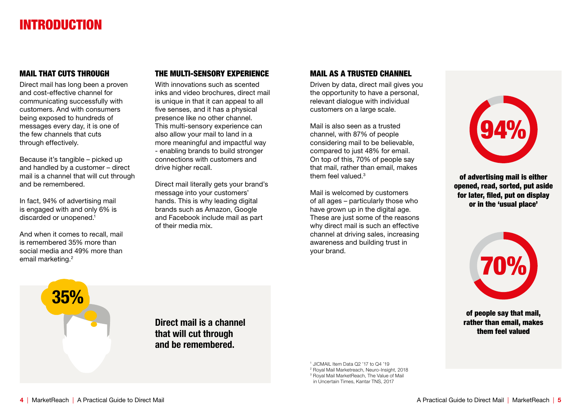# INTRODUCTION

## MAIL THAT CUTS THROUGH

Direct mail has long been a proven and cost-effective channel for communicating successfully with customers. And with consumers being exposed to hundreds of messages every day, it is one of the few channels that cuts through effectively.

Because it's tangible – picked up and handled by a customer – direct mail is a channel that will cut through and be remembered.

In fact, 94% of advertising mail is engaged with and only 6% is discarded or unopened.<sup>1</sup>

And when it comes to recall, mail is remembered 35% more than social media and 49% more than email marketing.<sup>2</sup>

# THE MULTI-SENSORY EXPERIENCE

With innovations such as scented inks and video brochures, direct mail is unique in that it can appeal to all five senses, and it has a physical presence like no other channel. This multi-sensory experience can also allow your mail to land in a more meaningful and impactful way - enabling brands to build stronger connections with customers and drive higher recall.

Direct mail literally gets your brand's message into your customers' hands. This is why leading digital brands such as Amazon, Google and Facebook include mail as part of their media mix.

## MAIL AS A TRUSTED CHANNEL

Driven by data, direct mail gives you the opportunity to have a personal, relevant dialogue with individual customers on a large scale.

Mail is also seen as a trusted channel, with 87% of people considering mail to be believable, compared to just 48% for email. On top of this, 70% of people say that mail, rather than email, makes them feel valued. $3$ 

Mail is welcomed by customers of all ages – particularly those who have grown up in the digital age. These are just some of the reasons why direct mail is such an effective channel at driving sales, increasing awareness and building trust in your brand.

94%

of advertising mail is either opened, read, sorted, put aside for later, filed, put on display or in the 'usual place'



of people say that mail, rather than email, makes them feel valued

35%

Direct mail is a channel that will cut through and be remembered.

> JICMAIL Item Data Q2 '17 to Q4 '19 Royal Mail Marketreach, Neuro-Insight, 2018 Royal Mail MarketReach, The Value of Mail in Uncertain Times, Kantar TNS, 2017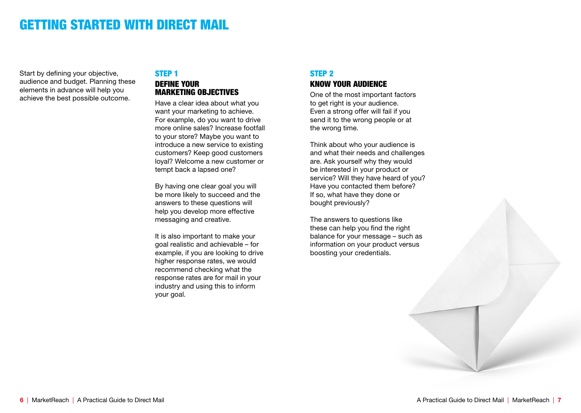# GETTING STARTED WITH DIRECT MAIL

Start by defining your objective, audience and budget. Planning these elements in advance will help you achieve the best possible outcome.

#### STEP 1 DEFINE YOUR **MARKETING OBJECTIVES**

Have a clear idea about what you want your marketing to achieve. For example, do you want to drive more online sales? Increase footfall to your store? Maybe you want to introduce a new service to existing customers? Keep good customers loyal? Welcome a new customer or tempt back a lapsed one?

By having one clear goal you will be more likely to succeed and the answers to these questions will help you develop more effective messaging and creative.

It is also important to make your goal realistic and achievable – for example, if you are looking to drive higher response rates, we would recommend checking what the response rates are for mail in your industry and using this to inform your goal.

# STEP 2 KNOW YOUR AUDIENCE

One of the most important factors to get right is your audience. Even a strong offer will fail if you send it to the wrong people or at the wrong time.

Think about who your audience is and what their needs and challenges are. Ask yourself why they would be interested in your product or service? Will they have heard of you? Have you contacted them before? If so, what have they done or bought previously?

The answers to questions like these can help you find the right balance for your message – such as information on your product versus boosting your credentials.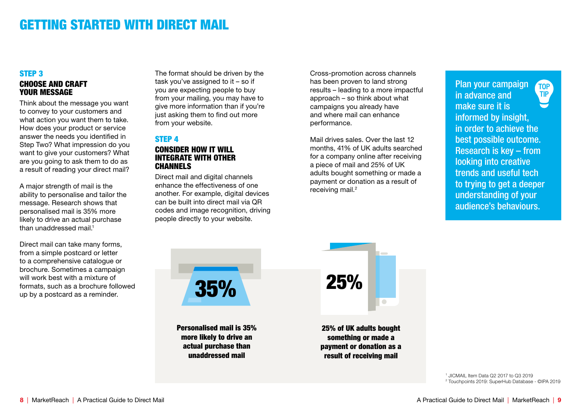# GETTING STARTED WITH DIRECT MAIL

## STEP 3 CHOOSE AND CRAFT YOUR MESSAGE

Think about the message you want to convey to your customers and what action you want them to take. How does your product or service answer the needs you identified in Step Two? What impression do you want to give your customers? What are you going to ask them to do as a result of reading your direct mail?

A major strength of mail is the ability to personalise and tailor the message. Research shows that personalised mail is 35% more likely to drive an actual purchase than unaddressed mail.<sup>1</sup>

Direct mail can take many forms, from a simple postcard or letter to a comprehensive catalogue or brochure. Sometimes a campaign will work best with a mixture of formats, such as a brochure followed up by a postcard as a reminder.

The format should be driven by the task you've assigned to it – so if you are expecting people to buy from your mailing, you may have to give more information than if you're just asking them to find out more from your website.

#### STEP 4 CONSIDER HOW IT WILL INTEGRATE WITH OTHER **CHANNELS**

Direct mail and digital channels enhance the effectiveness of one another. For example, digital devices can be built into direct mail via QR codes and image recognition, driving people directly to your website.

Cross-promotion across channels has been proven to land strong results – leading to a more impactful approach – so think about what campaigns you already have and where mail can enhance performance.

Mail drives sales. Over the last 12 months, 41% of UK adults searched for a company online after receiving a piece of mail and 25% of UK adults bought something or made a payment or donation as a result of receiving mail.<sup>2</sup>

Plan your campaign **TOP TIP** in advance and make sure it is informed by insight, in order to achieve the best possible outcome. Research is key – from looking into creative trends and useful tech to trying to get a deeper understanding of your audience's behaviours.

35%

Personalised mail is 35% more likely to drive an actual purchase than unaddressed mail



25% of UK adults bought something or made a payment or donation as a result of receiving mail

> 1 JICMAIL Item Data Q2 2017 to Q3 2019 2 Touchpoints 2019: SuperHub Database - ©IPA 2019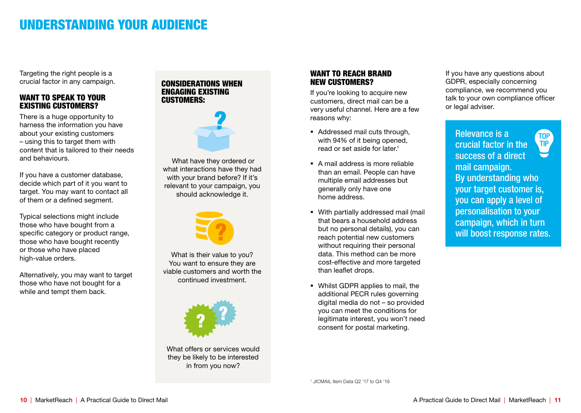# UNDERSTANDING YOUR AUDIENCE

Targeting the right people is a crucial factor in any campaign.

## WANT TO SPEAK TO YOUR EXISTING CUSTOMERS?

There is a huge opportunity to harness the information you have about your existing customers – using this to target them with content that is tailored to their needs and behaviours.

If you have a customer database, decide which part of it you want to target. You may want to contact all of them or a defined segment.

Typical selections might include those who have bought from a specific category or product range, those who have bought recently or those who have placed high-value orders.

Alternatively, you may want to target those who have not bought for a while and tempt them back.

### CONSIDERATIONS WHEN ENGAGING EXISTING CUSTOMERS:



 What have they ordered or what interactions have they had with your brand before? If it's relevant to your campaign, you should acknowledge it.



What is their value to you? You want to ensure they are viable customers and worth the continued investment.



What offers or services would they be likely to be interested in from you now?

#### WANT TO REACH BRAND NEW CUSTOMERS?

If you're looking to acquire new customers, direct mail can be a very useful channel. Here are a few reasons why:

- Addressed mail cuts through, with 94% of it being opened, read or set aside for later.1
- A mail address is more reliable than an email. People can have multiple email addresses but generally only have one home address.
- With partially addressed mail (mail that bears a household address but no personal details), you can reach potential new customers without requiring their personal data. This method can be more cost-effective and more targeted than leaflet drops.
- Whilst GDPR applies to mail, the additional PECR rules governing digital media do not – so provided you can meet the conditions for legitimate interest, you won't need consent for postal marketing.

If you have any questions about GDPR, especially concerning compliance, we recommend you talk to your own compliance officer or legal adviser.

Relevance is a **TOP** TIP crucial factor in the success of a direct mail campaign. By understanding who your target customer is, you can apply a level of personalisation to your campaign, which in turn will boost response rates.

1 JICMAIL Item Data Q2 '17 to Q4 '19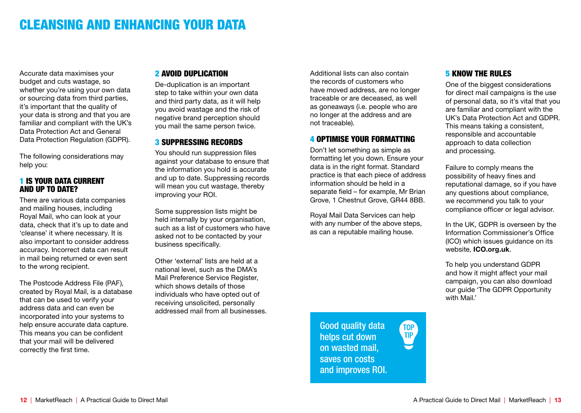# CLEANSING AND ENHANCING YOUR DATA

Accurate data maximises your budget and cuts wastage, so whether you're using your own data or sourcing data from third parties, it's important that the quality of your data is strong and that you are familiar and compliant with the UK's Data Protection Act and General Data Protection Regulation (GDPR).

The following considerations may help you:

#### 1 IS YOUR DATA CURRENT AND UP TO DATE?

There are various data companies and mailing houses, including Royal Mail, who can look at your data, check that it's up to date and 'cleanse' it where necessary. It is also important to consider address accuracy. Incorrect data can result in mail being returned or even sent to the wrong recipient.

The Postcode Address File (PAF), created by Royal Mail, is a database that can be used to verify your address data and can even be incorporated into your systems to help ensure accurate data capture. This means you can be confident that your mail will be delivered correctly the first time.

#### 2 AVOID DUPLICATION

De-duplication is an important step to take within your own data and third party data, as it will help you avoid wastage and the risk of negative brand perception should you mail the same person twice.

### **3 SUPPRESSING RECORDS**

You should run suppression files against your database to ensure that the information you hold is accurate and up to date. Suppressing records will mean you cut wastage, thereby improving your ROI.

Some suppression lists might be held internally by your organisation, such as a list of customers who have asked not to be contacted by your business specifically.

Other 'external' lists are held at a national level, such as the DMA's Mail Preference Service Register, which shows details of those individuals who have opted out of receiving unsolicited, personally addressed mail from all businesses.

Additional lists can also contain the records of customers who have moved address, are no longer traceable or are deceased, as well as goneaways (i.e. people who are no longer at the address and are not traceable).

# 4 OPTIMISE YOUR FORMATTING

Don't let something as simple as formatting let you down. Ensure your data is in the right format. Standard practice is that each piece of address information should be held in a separate field – for example, Mr Brian Grove, 1 Chestnut Grove, GR44 8BB.

Royal Mail Data Services can help with any number of the above steps, as can a reputable mailing house.

## **5 KNOW THE RULES**

One of the biggest considerations for direct mail campaigns is the use of personal data, so it's vital that you are familiar and compliant with the UK's Data Protection Act and GDPR. This means taking a consistent, responsible and accountable approach to data collection and processing.

Failure to comply means the possibility of heavy fines and reputational damage, so if you have any questions about compliance, we recommend you talk to your compliance officer or legal advisor.

In the UK, GDPR is overseen by the Information Commissioner's Office (ICO) which issues guidance on its website, ICO.org.uk.

To help you understand GDPR and how it might affect your mail campaign, you can also download our guide 'The GDPR Opportunity with Mail.'

Good quality data helps cut down on wasted mail, saves on costs and improves ROI.

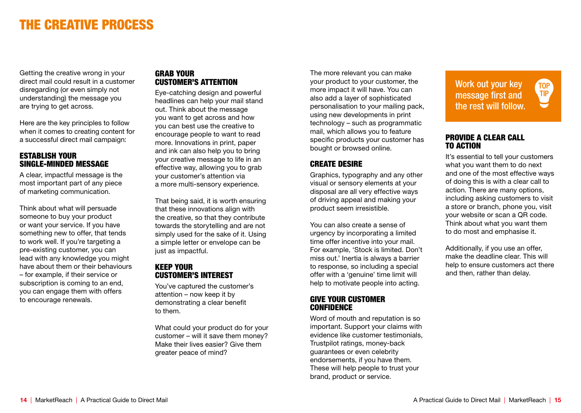# THE CREATIVE PROCESS

Getting the creative wrong in your direct mail could result in a customer disregarding (or even simply not understanding) the message you are trying to get across.

Here are the key principles to follow when it comes to creating content for a successful direct mail campaign:

#### ESTABLISH YOUR SINGLE-MINDED MESSAGE

A clear, impactful message is the most important part of any piece of marketing communication.

Think about what will persuade someone to buy your product or want your service. If you have something new to offer, that tends to work well. If you're targeting a pre-existing customer, you can lead with any knowledge you might have about them or their behaviours – for example, if their service or subscription is coming to an end, you can engage them with offers to encourage renewals.

## GRAB YOUR CUSTOMER'S ATTENTION

Eye-catching design and powerful headlines can help your mail stand out. Think about the message you want to get across and how you can best use the creative to encourage people to want to read more. Innovations in print, paper and ink can also help you to bring your creative message to life in an effective way, allowing you to grab your customer's attention via a more multi-sensory experience.

That being said, it is worth ensuring that these innovations align with the creative, so that they contribute towards the storytelling and are not simply used for the sake of it. Using a simple letter or envelope can be just as impactful.

#### KEEP YOUR CUSTOMER'S INTEREST

You've captured the customer's attention – now keep it by demonstrating a clear benefit to them.

What could your product do for your customer – will it save them money? Make their lives easier? Give them greater peace of mind?

The more relevant you can make your product to your customer, the more impact it will have. You can also add a layer of sophisticated personalisation to your mailing pack, using new developments in print technology – such as programmatic mail, which allows you to feature specific products your customer has bought or browsed online.

## CREATE DESIRE

Graphics, typography and any other visual or sensory elements at your disposal are all very effective ways of driving appeal and making your product seem irresistible.

You can also create a sense of urgency by incorporating a limited time offer incentive into your mail. For example, 'Stock is limited. Don't miss out.' Inertia is always a barrier to response, so including a special offer with a 'genuine' time limit will help to motivate people into acting.

#### GIVE YOUR CUSTOMER **CONFIDENCE**

Word of mouth and reputation is so important. Support your claims with evidence like customer testimonials, Trustpilot ratings, money-back guarantees or even celebrity endorsements, if you have them. These will help people to trust your brand, product or service.

Work out your key message first and the rest will follow. TOP<br>TIP

#### PROVIDE A CLEAR CALL TO ACTION

It's essential to tell your customers what you want them to do next and one of the most effective ways of doing this is with a clear call to action. There are many options, including asking customers to visit a store or branch, phone you, visit your website or scan a QR code. Think about what you want them to do most and emphasise it.

Additionally, if you use an offer, make the deadline clear. This will help to ensure customers act there and then, rather than delay.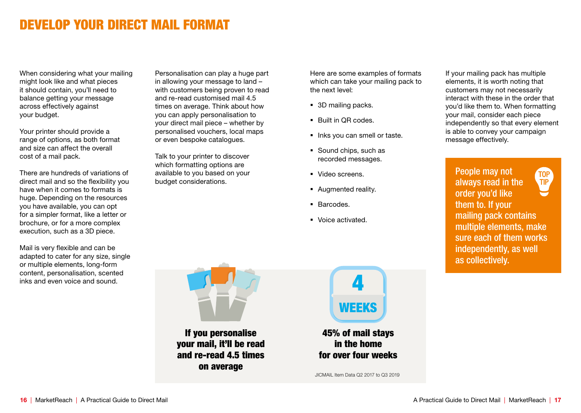# DEVELOP YOUR DIRECT MAIL FORMAT

When considering what your mailing might look like and what pieces it should contain, you'll need to balance getting your message across effectively against your budget.

Your printer should provide a range of options, as both format and size can affect the overall cost of a mail pack.

There are hundreds of variations of direct mail and so the flexibility you have when it comes to formats is huge. Depending on the resources you have available, you can opt for a simpler format, like a letter or brochure, or for a more complex execution, such as a 3D piece.

Mail is very flexible and can be adapted to cater for any size, single or multiple elements, long-form content, personalisation, scented inks and even voice and sound.

Personalisation can play a huge part in allowing your message to land – with customers being proven to read and re-read customised mail 4.5 times on average. Think about how you can apply personalisation to your direct mail piece – whether by personalised vouchers, local maps or even bespoke catalogues.

Talk to your printer to discover which formatting options are available to you based on your budget considerations.

Here are some examples of formats which can take your mailing pack to the next level:

- 3D mailing packs.
- Built in QR codes.
- Inks you can smell or taste.
- Sound chips, such as recorded messages.
- § Video screens.
- Augmented reality.
- § Barcodes.
- § Voice activated.

If your mailing pack has multiple elements, it is worth noting that customers may not necessarily interact with these in the order that you'd like them to. When formatting your mail, consider each piece independently so that every element is able to convey your campaign message effectively.

People may not **TOP** always read in the **TIP** order you'd like them to. If your mailing pack contains multiple elements, make sure each of them works independently, as well as collectively.

If you personalise your mail, it'll be read and re-read 4.5 times on average



in the home for over four weeks

JICMAIL Item Data Q2 2017 to Q3 2019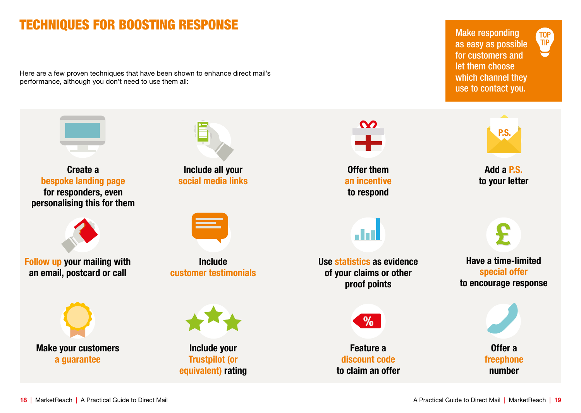# TECHNIQUES FOR BOOSTING RESPONSE

Here are a few proven techniques that have been shown to enhance direct mail's performance, although you don't need to use them all:

Make responding as easy as possible for customers and let them choose which channel they use to contact you.

TOP<br>TIP

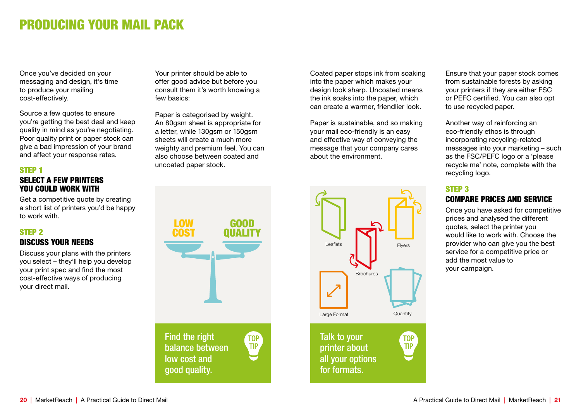# PRODUCING YOUR MAIL PACK

Once you've decided on your messaging and design, it's time to produce your mailing cost-effectively.

Source a few quotes to ensure you're getting the best deal and keep quality in mind as you're negotiating. Poor quality print or paper stock can give a bad impression of your brand and affect your response rates.

## STEP 1

#### SELECT A FEW PRINTERS YOU COULD WORK WITH

Get a competitive quote by creating a short list of printers you'd be happy to work with.

## STEP 2

## DISCUSS YOUR NEEDS

Discuss your plans with the printers you select – they'll help you develop your print spec and find the most cost-effective ways of producing your direct mail.

LOW GOOD COST **QUALITY** Find the right **TOP TIP** balance between low cost and good quality.

Your printer should be able to offer good advice but before you consult them it's worth knowing a

Paper is categorised by weight. An 80gsm sheet is appropriate for a letter, while 130gsm or 150gsm sheets will create a much more weighty and premium feel. You can also choose between coated and

uncoated paper stock.

few basics:

Coated paper stops ink from soaking into the paper which makes your design look sharp. Uncoated means the ink soaks into the paper, which can create a warmer, friendlier look.

Paper is sustainable, and so making your mail eco-friendly is an easy and effective way of conveying the message that your company cares about the environment.



Ensure that your paper stock comes from sustainable forests by asking your printers if they are either FSC or PEFC certified. You can also opt to use recycled paper.

Another way of reinforcing an eco-friendly ethos is through incorporating recycling-related messages into your marketing – such as the FSC/PEFC logo or a 'please recycle me' note, complete with the recycling logo.

#### STEP 3

# COMPARE PRICES AND SERVICE

Once you have asked for competitive prices and analysed the different quotes, select the printer you would like to work with. Choose the provider who can give you the best service for a competitive price or add the most value to your campaign.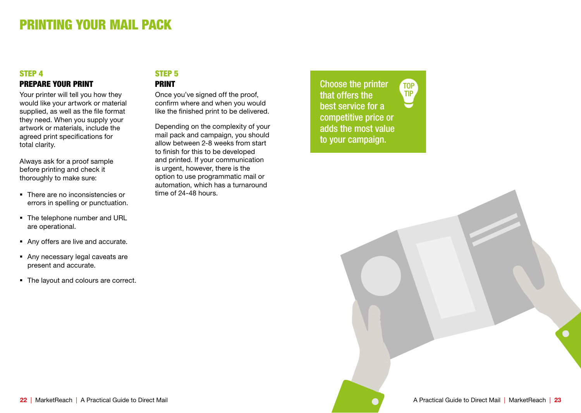# PRINTING YOUR MAIL PACK

## STEP 4 PREPARE YOUR PRINT

Your printer will tell you how they would like your artwork or material supplied, as well as the file format they need. When you supply your artwork or materials, include the agreed print specifications for total clarity.

Always ask for a proof sample before printing and check it thoroughly to make sure:

- There are no inconsistencies or errors in spelling or punctuation.
- The telephone number and URL are operational.
- Any offers are live and accurate.
- Any necessary legal caveats are present and accurate.
- The layout and colours are correct.

# STEP 5 PRINT

Once you've signed off the proof, confirm where and when you would like the finished print to be delivered.

Depending on the complexity of your mail pack and campaign, you should allow between 2-8 weeks from start to finish for this to be developed and printed. If your communication is urgent, however, there is the option to use programmatic mail or automation, which has a turnaround time of 24-48 hours.

Choose the printer **TOP TIP** that offers the best service for a competitive price or adds the most value to your campaign.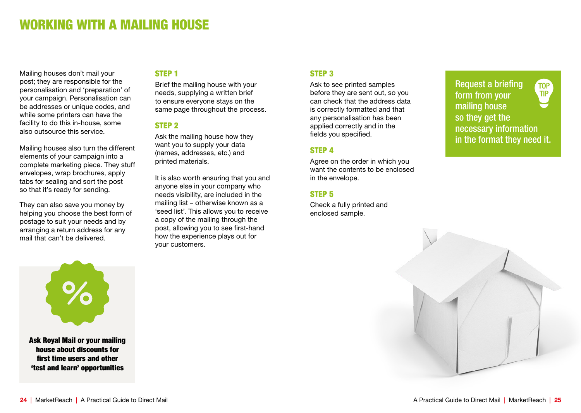# WORKING WITH A MAILING HOUSE

Mailing houses don't mail your post; they are responsible for the personalisation and 'preparation' of your campaign. Personalisation can be addresses or unique codes, and while some printers can have the facility to do this in-house, some also outsource this service.

Mailing houses also turn the different elements of your campaign into a complete marketing piece. They stuff envelopes, wrap brochures, apply tabs for sealing and sort the post so that it's ready for sending.

They can also save you money by helping you choose the best form of postage to suit your needs and by arranging a return address for any mail that can't be delivered.

## STEP 1

Brief the mailing house with your needs, supplying a written brief to ensure everyone stays on the same page throughout the process.

#### STEP 2

Ask the mailing house how they want you to supply your data (names, addresses, etc.) and printed materials.

It is also worth ensuring that you and anyone else in your company who needs visibility, are included in the mailing list – otherwise known as a 'seed list'. This allows you to receive a copy of the mailing through the post, allowing you to see first-hand how the experience plays out for your customers.

#### STEP 3

Ask to see printed samples before they are sent out, so you can check that the address data is correctly formatted and that any personalisation has been applied correctly and in the fields you specified.

#### STEP 4

Agree on the order in which you want the contents to be enclosed in the envelope.

#### STEP 5

Check a fully printed and enclosed sample.

Request a briefing **TOP TIP** form from your mailing house so they get the necessary information in the format they need it.



house about discounts for first time users and other 'test and learn' opportunities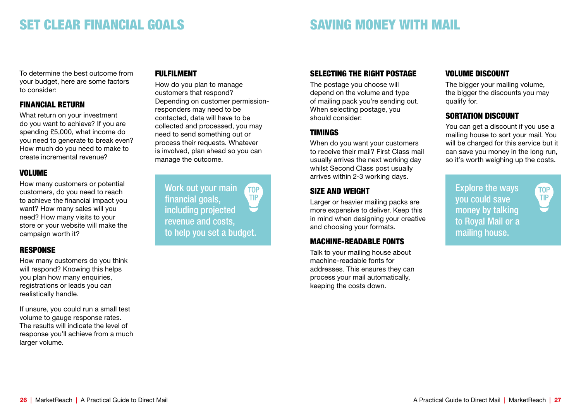# SET CLEAR FINANCIAL GOALS

# SAVING MONEY WITH MAIL

To determine the best outcome from your budget, here are some factors to consider:

## FINANCIAL RETURN

What return on your investment do you want to achieve? If you are spending £5,000, what income do you need to generate to break even? How much do you need to make to create incremental revenue?

#### VOLUME

How many customers or potential customers, do you need to reach to achieve the financial impact you want? How many sales will you need? How many visits to your store or your website will make the campaign worth it?

# **RESPONSE**

How many customers do you think will respond? Knowing this helps you plan how many enquiries. registrations or leads you can realistically handle.

If unsure, you could run a small test volume to gauge response rates. The results will indicate the level of response you'll achieve from a much larger volume.

# FULFILMENT

How do you plan to manage customers that respond? Depending on customer permissionresponders may need to be contacted, data will have to be collected and processed, you may need to send something out or process their requests. Whatever is involved, plan ahead so you can manage the outcome.

Work out your main **TOP TIP** financial goals, including projected revenue and costs, to help you set a budget.

# SELECTING THE RIGHT POSTAGE

The postage you choose will depend on the volume and type of mailing pack you're sending out. When selecting postage, you should consider:

# TIMINGS

When do you want your customers to receive their mail? First Class mail usually arrives the next working day whilst Second Class post usually arrives within 2-3 working days.

# SIZE AND WEIGHT

Larger or heavier mailing packs are more expensive to deliver. Keep this in mind when designing your creative and choosing your formats.

## MACHINE-READABLE FONTS

Talk to your mailing house about machine-readable fonts for addresses. This ensures they can process your mail automatically, keeping the costs down.

## VOLUME DISCOUNT

The bigger your mailing volume. the bigger the discounts you may qualify for.

## SORTATION DISCOUNT

You can get a discount if you use a mailing house to sort your mail. You will be charged for this service but it can save you money in the long run, so it's worth weighing up the costs.

> **TOP TIP**

Explore the ways you could save money by talking to Royal Mail or a mailing house.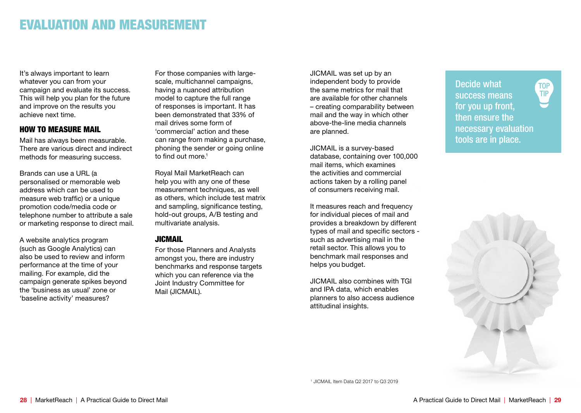# EVALUATION AND MEASUREMENT

It's always important to learn whatever you can from your campaign and evaluate its success. This will help you plan for the future and improve on the results you achieve next time.

#### HOW TO MEASURE MAIL

Mail has always been measurable. There are various direct and indirect methods for measuring success.

Brands can use a URL (a personalised or memorable web address which can be used to measure web traffic) or a unique promotion code/media code or telephone number to attribute a sale or marketing response to direct mail.

A website analytics program (such as Google Analytics) can also be used to review and inform performance at the time of your mailing. For example, did the campaign generate spikes beyond the 'business as usual' zone or 'baseline activity' measures?

For those companies with largescale, multichannel campaigns, having a nuanced attribution model to capture the full range of responses is important. It has been demonstrated that 33% of mail drives some form of 'commercial' action and these can range from making a purchase, phoning the sender or going online to find out more.<sup>1</sup>

Royal Mail MarketReach can help you with any one of these measurement techniques, as well as others, which include test matrix and sampling, significance testing, hold-out groups, A/B testing and multivariate analysis.

# **JICMAIL**

For those Planners and Analysts amongst you, there are industry benchmarks and response targets which you can reference via the Joint Industry Committee for Mail (JICMAIL).

JICMAIL was set up by an independent body to provide the same metrics for mail that are available for other channels – creating comparability between mail and the way in which other above-the-line media channels are planned.

JICMAIL is a survey-based database, containing over 100,000 mail items, which examines the activities and commercial actions taken by a rolling panel of consumers receiving mail.

It measures reach and frequency for individual pieces of mail and provides a breakdown by different types of mail and specific sectors such as advertising mail in the retail sector. This allows you to benchmark mail responses and helps you budget.

JICMAIL also combines with TGI and IPA data, which enables planners to also access audience attitudinal insights.

Decide what success means for you up front, then ensure the necessary evaluation tools are in place.

**TOP TIP** 



1 JICMAIL Item Data Q2 2017 to Q3 2019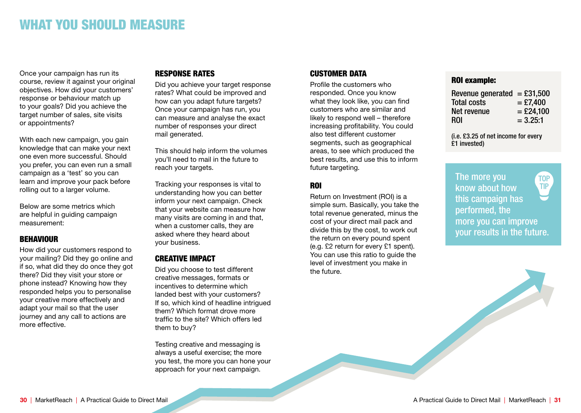# WHAT YOU SHOULD MEASURE

Once your campaign has run its course, review it against your original objectives. How did your customers' response or behaviour match up to your goals? Did you achieve the target number of sales, site visits or appointments?

With each new campaign, you gain knowledge that can make your next one even more successful. Should you prefer, you can even run a small campaign as a 'test' so you can learn and improve your pack before rolling out to a larger volume.

Below are some metrics which are helpful in guiding campaign measurement:

## **BEHAVIOUR**

How did your customers respond to your mailing? Did they go online and if so, what did they do once they got there? Did they visit your store or phone instead? Knowing how they responded helps you to personalise your creative more effectively and adapt your mail so that the user journey and any call to actions are more effective.

## RESPONSE RATES

Did you achieve your target response rates? What could be improved and how can you adapt future targets? Once your campaign has run, you can measure and analyse the exact number of responses your direct mail generated.

This should help inform the volumes you'll need to mail in the future to reach your targets.

Tracking your responses is vital to understanding how you can better inform your next campaign. Check that your website can measure how many visits are coming in and that, when a customer calls, they are asked where they heard about your business.

# CREATIVE IMPACT

Did you choose to test different creative messages, formats or incentives to determine which landed best with your customers? If so, which kind of headline intrigued them? Which format drove more traffic to the site? Which offers led them to buy?

Testing creative and messaging is always a useful exercise; the more you test, the more you can hone your approach for your next campaign.

# CUSTOMER DATA

Profile the customers who responded. Once you know what they look like, you can find customers who are similar and likely to respond well – therefore increasing profitability. You could also test different customer segments, such as geographical areas, to see which produced the best results, and use this to inform future targeting.

# ROI

Return on Investment (ROI) is a simple sum. Basically, you take the total revenue generated, minus the cost of your direct mail pack and divide this by the cost, to work out the return on every pound spent (e.g. £2 return for every £1 spent). You can use this ratio to guide the level of investment you make in the future.

# ROI example:

| Revenue generated = $£31,500$ |             |
|-------------------------------|-------------|
| <b>Total costs</b>            | $=$ £7,400  |
| Net revenue                   | $=$ £24,100 |
| <b>ROI</b>                    | $= 3.25:1$  |

(i.e. £3.25 of net income for every £1 invested)

The more you **TOP** TIP know about how this campaign has performed, the more you can improve your results in the future.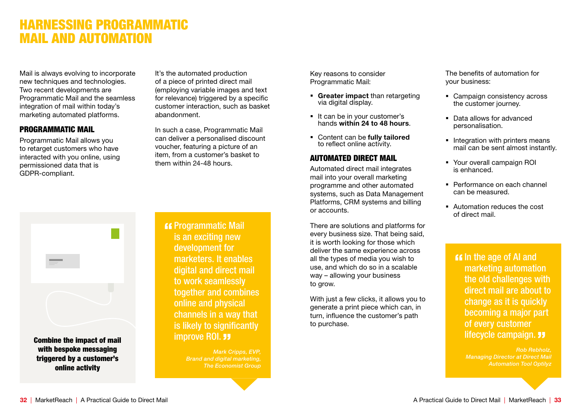# HARNESSING PROGRAMMATIC MAIL AND AUTOMATION

Mail is always evolving to incorporate new techniques and technologies. Two recent developments are Programmatic Mail and the seamless integration of mail within today's marketing automated platforms.

#### PROGRAMMATIC MAIL

Programmatic Mail allows you to retarget customers who have interacted with you online, using permissioned data that is GDPR-compliant.

It's the automated production of a piece of printed direct mail (employing variable images and text for relevance) triggered by a specific customer interaction, such as basket abandonment.

In such a case, Programmatic Mail can deliver a personalised discount voucher, featuring a picture of an item, from a customer's basket to them within 24-48 hours.

Key reasons to consider Programmatic Mail:

- Greater impact than retargeting via digital display.
- It can be in your customer's hands within 24 to 48 hours.
- Content can be fully tailored to reflect online activity.

# AUTOMATED DIRECT MAIL

Automated direct mail integrates mail into your overall marketing programme and other automated systems, such as Data Management Platforms, CRM systems and billing or accounts.

There are solutions and platforms for every business size. That being said, it is worth looking for those which deliver the same experience across all the types of media you wish to use, and which do so in a scalable way – allowing your business to grow.

With just a few clicks, it allows you to generate a print piece which can, in turn, influence the customer's path to purchase.

The benefits of automation for your business:

- Campaign consistency across the customer journey.
- Data allows for advanced personalisation.
- Integration with printers means mail can be sent almost instantly.
- § Your overall campaign ROI is enhanced.
- Performance on each channel can be measured.
- § Automation reduces the cost of direct mail.

**If In the age of AI and** marketing automation the old challenges with direct mail are about to change as it is quickly becoming a major part of every customer lifecycle campaign. **33** 

> *Rob Rebholz, Managing Director at Direct Mail Automation Tool Optilyz*



**K** Programmatic Mail is an exciting new development for marketers. It enables digital and direct mail to work seamlessly together and combines online and physical channels in a way that is likely to significantly improve ROI. **33** 

> *Mark Cripps, EVP, Brand and digital marketing, The Economist Group*